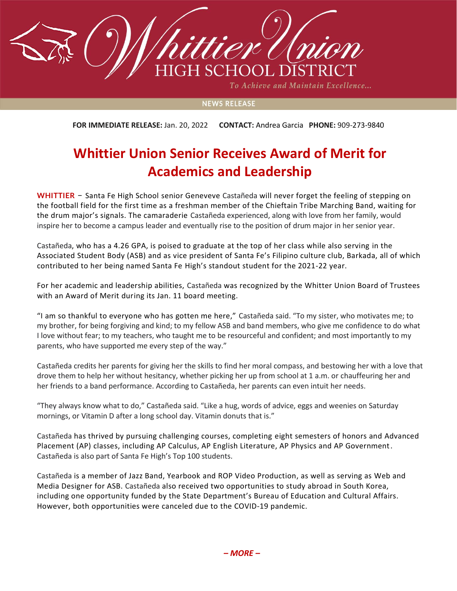

To Achieve and Maintain Excellence...

## **NEWS RELEASE**

**FOR IMMEDIATE RELEASE:** Jan. 20, 2022 **CONTACT:** Andrea Garcia **PHONE:** 909-273-9840

## **Whittier Union Senior Receives Award of Merit for Academics and Leadership**

**WHITTIER** – Santa Fe High School senior Geneveve Castañeda will never forget the feeling of stepping on the football field for the first time as a freshman member of the Chieftain Tribe Marching Band, waiting for the drum major's signals. The camaraderie Castañeda experienced, along with love from her family, would inspire her to become a campus leader and eventually rise to the position of drum major in her senior year.

Castañeda, who has a 4.26 GPA, is poised to graduate at the top of her class while also serving in the Associated Student Body (ASB) and as vice president of Santa Fe's Filipino culture club, Barkada, all of which contributed to her being named Santa Fe High's standout student for the 2021-22 year.

For her academic and leadership abilities, Castañeda was recognized by the Whitter Union Board of Trustees with an Award of Merit during its Jan. 11 board meeting.

"I am so thankful to everyone who has gotten me here," Castañeda said. "To my sister, who motivates me; to my brother, for being forgiving and kind; to my fellow ASB and band members, who give me confidence to do what I love without fear; to my teachers, who taught me to be resourceful and confident; and most importantly to my parents, who have supported me every step of the way."

Castañeda credits her parents for giving her the skills to find her moral compass, and bestowing her with a love that drove them to help her without hesitancy, whether picking her up from school at 1 a.m. or chauffeuring her and her friends to a band performance. According to Castañeda, her parents can even intuit her needs.

"They always know what to do," Castañeda said. "Like a hug, words of advice, eggs and weenies on Saturday mornings, or Vitamin D after a long school day. Vitamin donuts that is."

Castañeda has thrived by pursuing challenging courses, completing eight semesters of honors and Advanced Placement (AP) classes, including AP Calculus, AP English Literature, AP Physics and AP Government. Castañeda is also part of Santa Fe High's Top 100 students.

Castañeda is a member of Jazz Band, Yearbook and ROP Video Production, as well as serving as Web and Media Designer for ASB. Castañeda also received two opportunities to study abroad in South Korea, including one opportunity funded by the State Department's Bureau of Education and Cultural Affairs. However, both opportunities were canceled due to the COVID-19 pandemic.